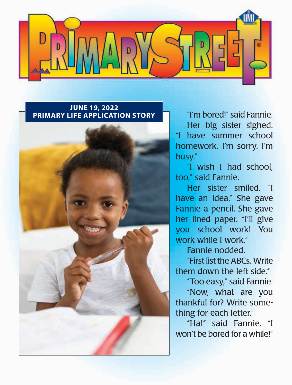

#### **JUNE 19, 2022 PRIMARY LIFE APPLICATION STORY** "I'm bored!" said Fannie.



Her big sister sighed. "I have summer school homework. I'm sorry. I'm busy."

"I wish I had school, too," said Fannie.

Her sister smiled. "I have an idea." She gave Fannie a pencil. She gave her lined paper. "I'll give you school work! You work while I work."

Fannie nodded.

"First list the ABCs. Write them down the left side."

"Too easy," said Fannie.

"Now, what are you thankful for? Write something for each letter."

"Ha!" said Fannie. "I won't be bored for a while!"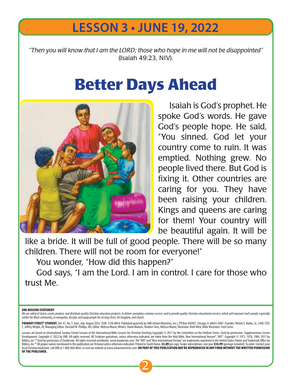## **LESSON 3 • JUNE 19, 2022**

*"Then you will know that I am the LORD; those who hope in me will not be disappointed"*  (Isaiah 49:23, NIV).

# **Better Days Ahead**



Isaiah is God's prophet. He spoke God's words. He gave God's people hope. He said, "You sinned. God let your country come to ruin. It was emptied. Nothing grew. No people lived there. But God is fixing it. Other countries are caring for you. They have been raising your children. Kings and queens are caring for them! Your country will be beautiful again. It will be

like a bride. It will be full of good people. There will be so many children. There will not be room for everyone!"

You wonder, "How did this happen?"

God says, "I am the Lord. I am in control. I care for those who trust Me.

#### UMI MISSION STATEMENT

We are called of God to create, produce, and distribute quality Christian education products; to deliver exemplary customer service; and to provide quality Christian educational services, which will empower God's people, e

PRIMARY STREET® STUDENT, Vol. 47, No. 3. June, July, August 2022. ISSN: 1550-8854. Published quarterly by UMI (Urban Ministries, Inc.), PO Box 436987, Chicago, IL 60643-6987. Founder: Melvin E. Banks, Sr., LittD; CEO: C. Jeffrey Wright, JD; Managing Editor: Daschell M. Phillips, MS; Editor: Melissa Moore; Writers: David Madsen, Heather Tietz, Melissa Moore; Illustrator: Ruth Wick; Bible Illustrator: Fred Carter.

Lessons are based on International Sunday School Lessons of the International Bible Lessons for Christian Teaching Copyright © 2017 by the Committee on the Uniform Series. Used by permission. Supplementary Lesson Development. Copyright © 2022 by UMI. All rights reserved. All Scripture quotations, unless otherwise indicated, are taken from the Holy Bible, New International Version®, NIV®. Copyright © 1973, 1978, 1984, 2011 by<br>Bibli Biblica, Inc.™ All proper names mentioned in this publication are fictional unless otherwise indicated. Printed in South Korea. \$3.89 per copy. Single subscriptions: one year \$34.99 (postage included). To order: Contact y local Christian bookstore; call UMI at 1-800-860-8642; or visit our website at www.urbanministries.com. NO PART OF THIS PUBLICATION MAY BE REPRODUCED IN ANY FORM WITHOUT THE WRITTEN PERMISSION OF THE PUBLISHER.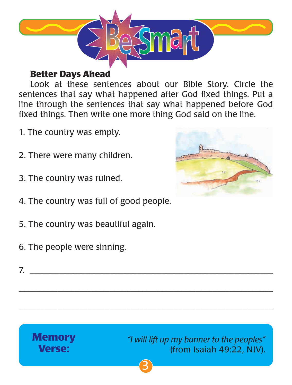

### **Better Days Ahead**

Look at these sentences about our Bible Story. Circle the sentences that say what happened after God fixed things. Put a line through the sentences that say what happened before God fixed things. Then write one more thing God said on the line.

- 1. The country was empty.
- 2. There were many children.
- 3. The country was ruined.
- 4. The country was full of good people.
- 5. The country was beautiful again.
- 6. The people were sinning.



7. \_\_\_\_\_\_\_\_\_\_\_\_\_\_\_\_\_\_\_\_\_\_\_\_\_\_\_\_\_\_\_\_\_\_\_\_\_\_\_\_\_\_\_\_\_\_\_\_\_\_\_\_\_\_\_\_\_



 $\overline{\phantom{a}}$  , and the contract of the contract of the contract of the contract of the contract of the contract of the contract of the contract of the contract of the contract of the contract of the contract of the contrac

 $\overline{\phantom{a}}$  , and the contract of the contract of the contract of the contract of the contract of the contract of the contract of the contract of the contract of the contract of the contract of the contract of the contrac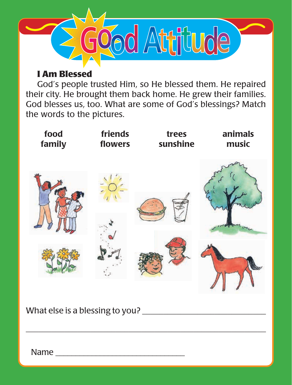

### **I Am Blessed**

God's people trusted Him, so He blessed them. He repaired their city. He brought them back home. He grew their families. God blesses us, too. What are some of God's blessings? Match the words to the pictures.



 $\overline{\phantom{a}}$  , and the contract of the contract of the contract of the contract of the contract of the contract of the contract of the contract of the contract of the contract of the contract of the contract of the contrac

What else is a blessing to you?

Name  $\blacksquare$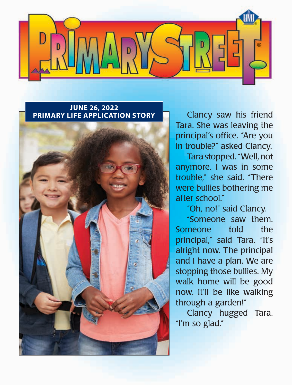

#### **JUNE 26, 2022 PRIMARY LIFE APPLICATION STORY Clancy saw his friend**



Tara. She was leaving the principal's office. "Are you in trouble?" asked Clancy.

Tara stopped. "Well, not anymore. I was in some trouble," she said. "There were bullies bothering me after school."

"Oh, no!" said Clancy.

"Someone saw them. Someone told the principal," said Tara. "It's alright now. The principal and I have a plan. We are stopping those bullies. My walk home will be good now. It'll be like walking through a garden!"

Clancy hugged Tara. "I'm so glad."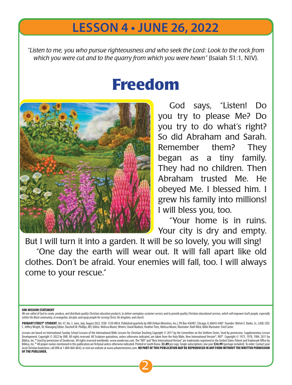## **LESSON 4 • JUNE 26, 2022**

*"Listen to me, you who pursue righteousness and who seek the Lord: Look to the rock from which you were cut and to the quarry from which you were hewn"* (Isaiah 51:1, NIV).

# **Freedom**



God says, "Listen! Do you try to please Me? Do you try to do what's right? So did Abraham and Sarah. Remember them? They began as a tiny family. They had no children. Then Abraham trusted Me. He obeyed Me. I blessed him. I grew his family into millions! I will bless you, too.

"Your home is in ruins. Your city is dry and empty.

But I will turn it into a garden. It will be so lovely, you will sing! "One day the earth will wear out. It will fall apart like old clothes. Don't be afraid. Your enemies will fall, too. I will always come to your rescue."

#### UMI MISSION STATEMENT

We are called of God to create, produce, and distribute quality Christian education products; to deliver exemplary customer service; and to provide quality Christian educational services, which will empower God's people, e

PRIMARY STREET® STUDENT, Vol. 47, No. 3. June, July, August 2022. ISSN: 1550-8854. Published quarterly by UMI (Urban Ministries, Inc.), PO Box 436987, Chicago, IL 60643-6987. Founder: Melvin E. Banks, Sr., LittD; CEO: C. Jeffrey Wright, JD; Managing Editor: Daschell M. Phillips, MS; Editor: Melissa Moore; Writers: David Madsen, Heather Tietz, Melissa Moore; Illustrator: Ruth Wick; Bible Illustrator: Fred Carter.

Lessons are based on International Sunday School Lessons of the International Bible Lessons for Christian Teaching Copyright © 2017 by the Committee on the Uniform Series. Used by permission. Supplementary Lesson Development. Copyright © 2022 by UMI. All rights reserved. All Scripture quotations, unless otherwise indicated, are taken from the Holy Bible, New International Version®, NIV®. Copyright © 1973, 1978, 1984, 2011 by<br>Bibli Biblica, Inc.™ All proper names mentioned in this publication are fictional unless otherwise indicated. Printed in South Korea. \$3.89 per copy. Single subscriptions: one year \$34.99 (postage included). To order: Contact y local Christian bookstore; call UMI at 1-800-860-8642; or visit our website at www.urbanministries.com. NO PART OF THIS PUBLICATION MAY BE REPRODUCED IN ANY FORM WITHOUT THE WRITTEN PERMISSION OF THE PUBLISHER.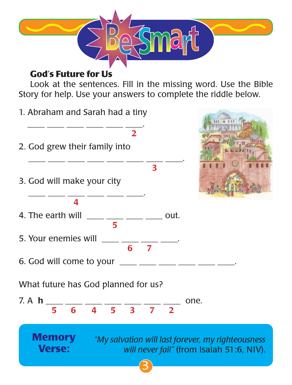

### **God's Future for Us**

Look at the sentences. Fill in the missing word. Use the Bible Story for help. Use your answers to complete the riddle below.

1. Abraham and Sarah had a tiny